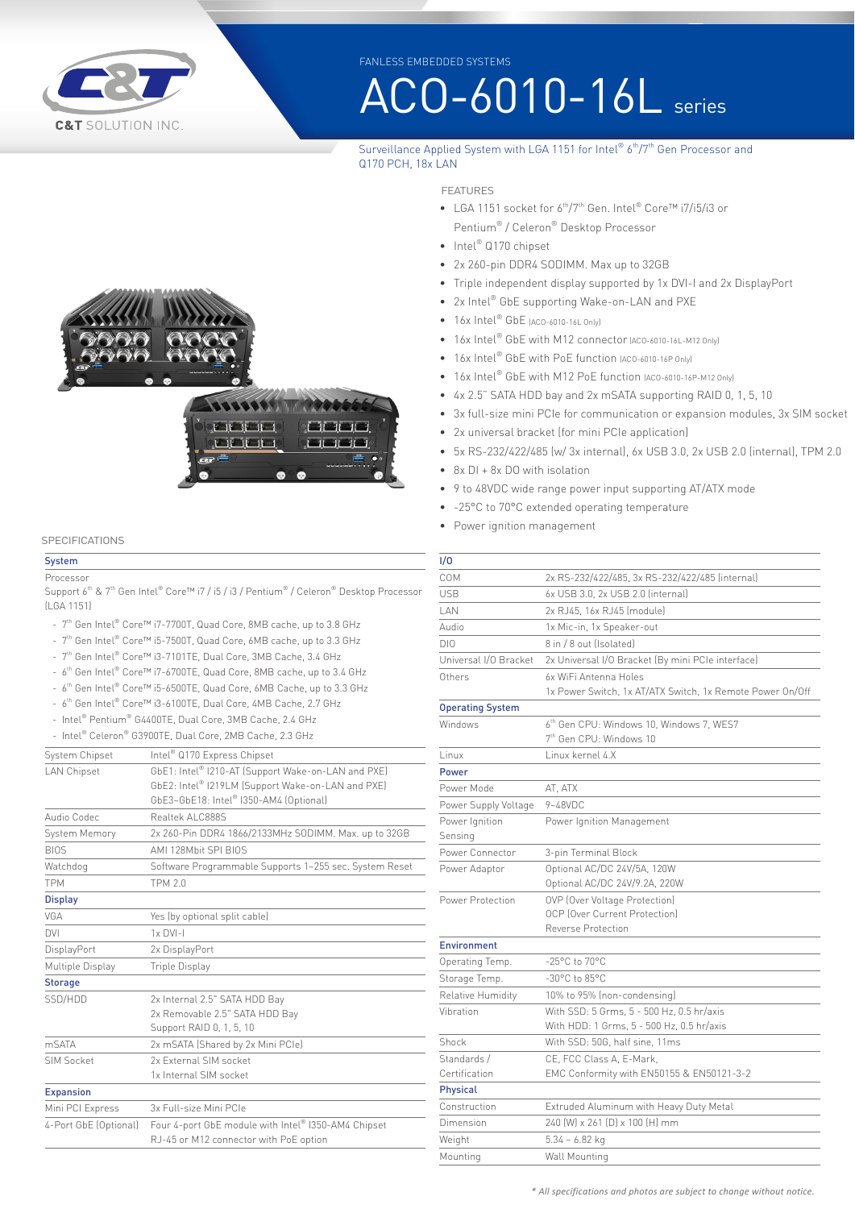

FANLESS EMBEDDED SYSTEMS

# ACO-6010-16L series

#### Surveillance Applied System with LGA 1151 for Intel® 6<sup>th</sup>/7<sup>th</sup> Gen Processor and Q170 PCH, 18x LAN

## **All Company Adding All Company** and and and and **Market Bank Bank Contract Contract Contract**

#### **SPECIFICATIONS**

#### **System Processor**

Support 6<sup>th</sup> & 7<sup>th</sup> Gen Intel® Core™ i7 / i5 / i3 / Pentium® / Celeron® Desktop Processor (LGA 1151)

- 7th Gen Intel® Core™ i7-7700T, Quad Core, 8MB cache, up to 3.8 GHz
- 7th Gen Intel® Core™ i5-7500T, Quad Core, 6MB cache, up to 3.3 GHz
- 7<sup>th</sup> Gen Intel® Core™ i3-7101TE, Dual Core, 3MB Cache, 3.4 GHz
- 6th Gen Intel® Core™ i7-6700TE, Quad Core, 8MB cache, up to 3.4 GHz
- 6th Gen Intel® Core™ i5-6500TE, Quad Core, 6MB Cache, up to 3.3 GHz
- 6th Gen Intel® Core™ i3-6100TE, Dual Core, 4MB Cache, 2.7 GHz
- Intel® Pentium® G4400TE, Dual Core, 3MB Cache, 2.4 GHz
- Intel® Celeron® G3900TE, Dual Core, 2MB Cache, 2.3 GHz

| System Chipset        | Intel <sup>®</sup> Q170 Express Chipset                |
|-----------------------|--------------------------------------------------------|
| <b>LAN Chipset</b>    | GbE1: Intel® I210-AT (Support Wake-on-LAN and PXE)     |
|                       | GbE2: Intel® I219LM (Support Wake-on-LAN and PXE)      |
|                       | GbE3~GbE18: Intel® I350-AM4 (Optional)                 |
| Audio Codec           | Realtek Al C888S                                       |
| System Memory         | 2x 260-Pin DDR4 1866/2133MHz SODIMM. Max. up to 32GB   |
| <b>BIOS</b>           | AMI 128Mbit SPI BIOS                                   |
| Watchdog              | Software Programmable Supports 1~255 sec. System Reset |
| <b>TPM</b>            | <b>TPM 2.0</b>                                         |
| <b>Display</b>        |                                                        |
| VGA                   | Yes (by optional split cable)                          |
| <b>DVI</b>            | $1 \times$ DVI-I                                       |
| DisplayPort           | 2x DisplayPort                                         |
| Multiple Display      | Triple Display                                         |
| <b>Storage</b>        |                                                        |
| SSD/HDD               | 2x Internal 2.5" SATA HDD Bay                          |
|                       | 2x Removable 2.5" SATA HDD Bay                         |
|                       | Support RAID 0, 1, 5, 10                               |
| <b>mSATA</b>          | 2x mSATA (Shared by 2x Mini PCIe)                      |
| SIM Socket            | 2x External SIM socket                                 |
|                       | 1x Internal SIM socket                                 |
| <b>Expansion</b>      |                                                        |
| Mini PCI Express      | 3x Full-size Mini PCIe                                 |
| 4-Port GbE (Optional) | Four 4-port GbE module with Intel® I350-AM4 Chipset    |
|                       | RJ-45 or M12 connector with PoE option                 |

#### FEATURES

- LGA 1151 socket for 6<sup>th</sup>/7<sup>th</sup> Gen. Intel® Core™ i7/i5/i3 or Pentium® / Celeron® Desktop Processor
- Intel® Q170 chipset
- 2x 260-pin DDR4 SODIMM. Max up to 32GB
- Triple independent display supported by 1x DVI-I and 2x DisplayPort
- 2x Intel® GbE supporting Wake-on-LAN and PXE
- 16x Intel<sup>®</sup> GbE (ACO-6010-16L Only)
- 16x Intel® GbE with M12 connector (ACO-6010-16L-M12 Only)
- 16x Intel<sup>®</sup> GbE with PoE function (ACO-6010-16P Only)
- 16x Intel<sup>®</sup> GbE with M12 PoE function (ACO-6010-16P-M12 Only)
- 4x 2.5" SATA HDD bay and 2x mSATA supporting RAID 0, 1, 5, 10
- 3x full-size mini PCIe for communication or expansion modules, 3x SIM socket
- 2x universal bracket (for mini PCIe application)
- 5x RS-232/422/485 (w/ 3x internal), 6x USB 3.0, 2x USB 2.0 (internal), TPM 2.0
- 8x DI + 8x DO with isolation
- 9 to 48VDC wide range power input supporting AT/ATX mode
- -25°C to 70°C extended operating temperature
- Power ignition management

| 1/0                     |                                                           |
|-------------------------|-----------------------------------------------------------|
| COM                     | 2x RS-232/422/485, 3x RS-232/422/485 (internal)           |
| <b>USB</b>              | 6x USB 3.0, 2x USB 2.0 (internal)                         |
| I AN                    | 2x RJ45, 16x RJ45 (module)                                |
| Audio                   | 1x Mic-in, 1x Speaker-out                                 |
| DIO                     | 8 in / 8 out (Isolated)                                   |
| Universal I/O Bracket   | 2x Universal I/O Bracket (By mini PCIe interface)         |
| Others                  | 6x WiFi Antenna Holes                                     |
|                         | 1x Power Switch, 1x AT/ATX Switch, 1x Remote Power On/Off |
| <b>Operating System</b> |                                                           |
| Windows                 | 6th Gen CPU: Windows 10, Windows 7, WES7                  |
|                         | 7 <sup>th</sup> Gen CPU: Windows 10                       |
| Linux                   | Linux kernel 4.X                                          |
| Power                   |                                                           |
| Power Mode              | AT, ATX                                                   |
| Power Supply Voltage    | $9 - 48$ VDC                                              |
| Power Ignition          | Power Ignition Management                                 |
| Sensing                 |                                                           |
| Power Connector         | 3-pin Terminal Block                                      |
| Power Adaptor           | Optional AC/DC 24V/5A, 120W                               |
|                         | Optional AC/DC 24V/9.2A, 220W                             |
| Power Protection        | OVP (Over Voltage Protection)                             |
|                         | <b>OCP (Over Current Protection)</b>                      |
|                         | Reverse Protection                                        |
| <b>Environment</b>      |                                                           |
| Operating Temp.         | $-25^{\circ}$ C to $70^{\circ}$ C                         |
| Storage Temp.           | $-30^{\circ}$ C to 85 $^{\circ}$ C                        |
| Relative Humidity       | 10% to 95% (non-condensing)                               |
| Vibration               | With SSD: 5 Grms, 5 - 500 Hz, 0.5 hr/axis                 |
|                         | With HDD: 1 Grms, 5 - 500 Hz, 0.5 hr/axis                 |
| Shock                   | With SSD: 50G, half sine, 11ms                            |
| Standards /             | CE, FCC Class A, E-Mark,                                  |
| Certification           | EMC Conformity with EN50155 & EN50121-3-2                 |
| <b>Physical</b>         |                                                           |
| Construction            | Extruded Aluminum with Heavy Duty Metal                   |
| Dimension               | 240 (W) x 261 (D) x 100 (H) mm                            |
| Weight                  | $5.34 - 6.82$ kg                                          |
| Mounting                | Wall Mounting                                             |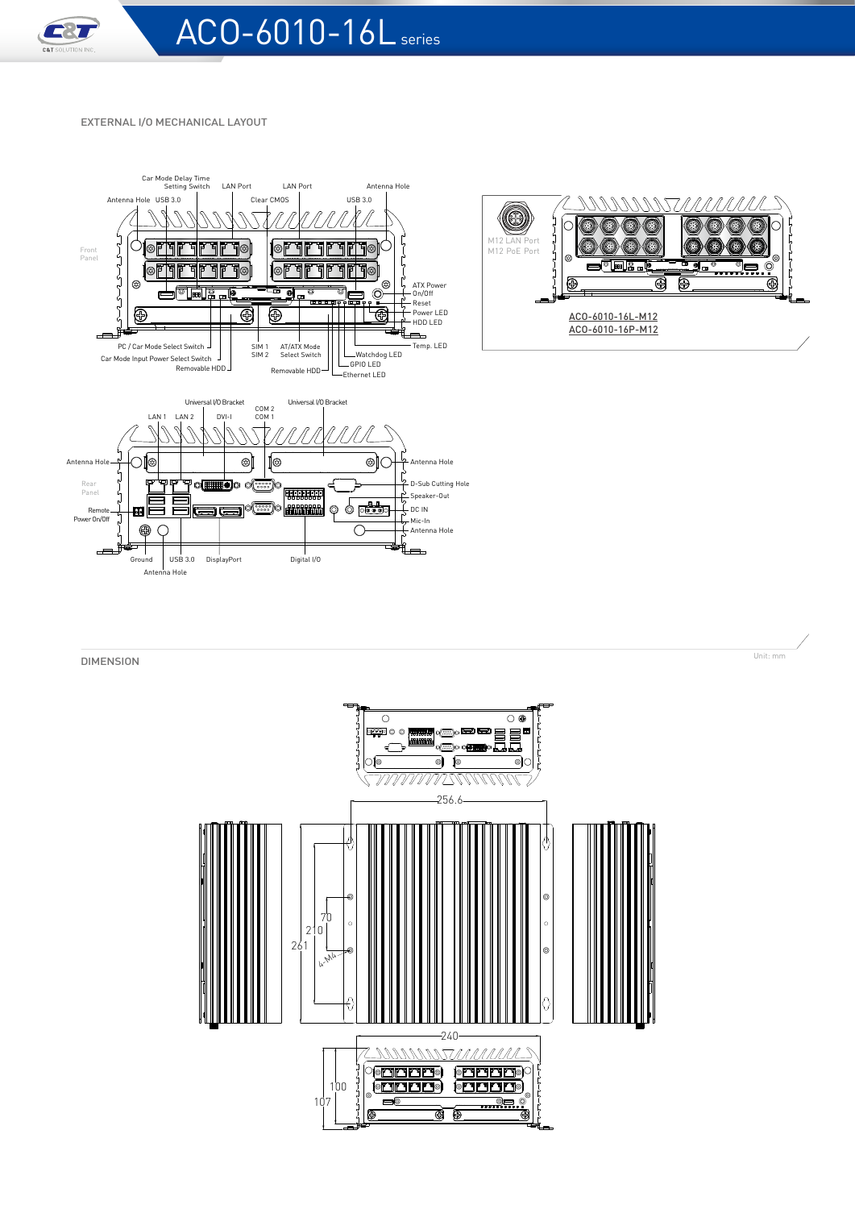

#### EXTERNAL I/O MECHANICAL LAYOUT







**DIMENSION** Unit: mm **DIMENSION**